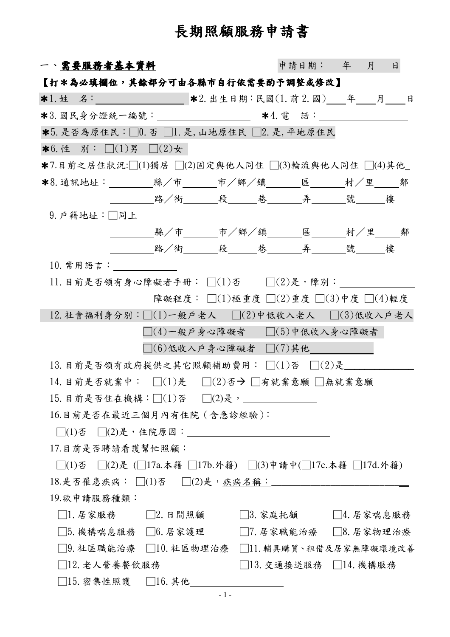## 長期照顧服務申請書

| 一丶需要服務者基本資料                                                           |                       | 申請日期: 年 月 | $\Box$ |
|-----------------------------------------------------------------------|-----------------------|-----------|--------|
| 【打*為必填欄位,其餘部分可由各縣市自行依需要酌予調整或修改】                                       |                       |           |        |
| *1. 姓 名:_________________ *2. 出生日期:民國(1. 前 2. 國)____年____月____日       |                       |           |        |
| *3. 國民身分證統一編號:_____________________ *4. 電 話:___________________       |                       |           |        |
| *5. 是否為原住民:□0. 否 □1. 是, 山地原住民 □2. 是, 平地原住民                            |                       |           |        |
| <b>*6.</b> 性 別: □(1)男 □(2)女                                           |                       |           |        |
| *7.目前之居住狀況:□(1)獨居 □(2)固定與他人同住 □(3)輪流與他人同住 □(4)其他                      |                       |           |        |
| *8. 通訊地址:_________縣/市_______市/鄉/鎮______區_______村/里_____鄰              |                       |           |        |
| _________路/街______段_____巷______弄_______號_____樓                        |                       |           |        |
| 9. 户籍地址:□同上                                                           |                       |           |        |
| ________縣/市_______市/鄉/鎮_______區________村/里_____鄰                      |                       |           |        |
|                                                                       |                       |           |        |
| $10.$ 常用語言:                                                           |                       |           |        |
| $11.$ 目前是否領有身心障礙者手冊: $\square(1)$ 否 $\square(2)$ 是,障別:                |                       |           |        |
| 障礙程度: □(1)極重度 □(2)重度 □(3)中度 □(4)輕度                                    |                       |           |        |
| $12.$ 社會福利身分別: $\Box(1)$ 一般戶老人 $\Box(2)$ 中低收入老人 $\Box(3)$ 低收入戶老人      |                       |           |        |
| $\Box(4)$ 一般戶身心障礙者 $\Box(5)$ 中低收入身心障礙者                                |                       |           |        |
| $\Box(6)$ 低收入戶身心障礙者 $\Box(7)$ 其他                                      |                       |           |        |
| 13. 目前是否領有政府提供之其它照顧補助費用: $\Box(1)$ 否 $\Box(2)$ 是                      |                       |           |        |
| 14. 目前是否就業中: □(1)是 □(2)否→ □有就業意願 □無就業意願                               |                       |           |        |
| 15. 目前是否住在機構:□(1)否 □(2)是,________                                     |                       |           |        |
| 16.目前是否在最近三個月內有住院 (含急診經驗):                                            |                       |           |        |
|                                                                       |                       |           |        |
| 17.目前是否聘請看護幫忙照顧:                                                      |                       |           |        |
| □(1)否 □(2)是 (□17a.本籍 □17b.外籍) □(3)申請中(□17c.本籍 □17d.外籍)                |                       |           |        |
| 18.是否罹患疾病: □(1)否  □(2)是, <u>疾病名稱:___________</u> ____________________ |                       |           |        |
| 19.欲申請服務種類:                                                           |                       |           |        |
| $\Box$ 1. 居家服務 $\Box$ 2. 日間照顧 しんじょう                                   | □3. 家庭托顧 □ □4. 居家喘息服務 |           |        |
| □5.機構喘息服務 □6.居家護理 □ □7.居家職能治療 □8.居家物理治療                               |                       |           |        |
| □9.社區職能治療 □10.社區物理治療 □11.輔具購買、租借及居家無障礙環境改善                            |                       |           |        |
| □12. 老人營養餐飲服務                                                         | □13. 交通接送服務 □14. 機構服務 |           |        |
| □15. 密集性照護 □16. 其他                                                    |                       |           |        |